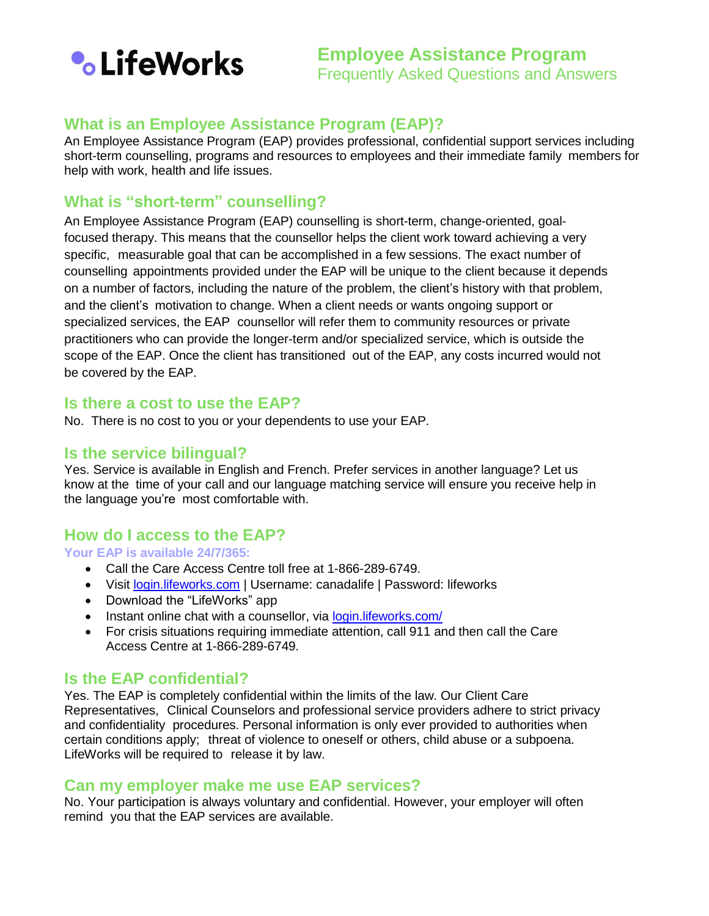

# **What is an Employee Assistance Program (EAP)?**

An Employee Assistance Program (EAP) provides professional, confidential support services including short-term counselling, programs and resources to employees and their immediate family members for help with work, health and life issues.

## **What is "short-term" counselling?**

An Employee Assistance Program (EAP) counselling is short-term, change-oriented, goalfocused therapy. This means that the counsellor helps the client work toward achieving a very specific, measurable goal that can be accomplished in a few sessions. The exact number of counselling appointments provided under the EAP will be unique to the client because it depends on a number of factors, including the nature of the problem, the client's history with that problem, and the client's motivation to change. When a client needs or wants ongoing support or specialized services, the EAP counsellor will refer them to community resources or private practitioners who can provide the longer-term and/or specialized service, which is outside the scope of the EAP. Once the client has transitioned out of the EAP, any costs incurred would not be covered by the EAP.

#### **Is there a cost to use the EAP?**

No. There is no cost to you or your dependents to use your EAP.

### **Is the service bilingual?**

Yes. Service is available in English and French. Prefer services in another language? Let us know at the time of your call and our language matching service will ensure you receive help in the language you're most comfortable with.

#### **How do I access to the EAP?**

**Your EAP is available 24/7/365:**

- Call the Care Access Centre toll free at 1-866-289-6749.
- Visit [login.lifeworks.com](https://login.lifeworks.com/) | Username: canadalife | Password: lifeworks
- Download the "LifeWorks" app
- Instant online chat with a counsellor, via [login.lifeworks.com/](https://login.lifeworks.com/)
- For crisis situations requiring immediate attention, call 911 and then call the Care Access Centre at 1-866-289-6749.

#### **Is the EAP confidential?**

Yes. The EAP is completely confidential within the limits of the law. Our Client Care Representatives, Clinical Counselors and professional service providers adhere to strict privacy and confidentiality procedures. Personal information is only ever provided to authorities when certain conditions apply; threat of violence to oneself or others, child abuse or a subpoena. LifeWorks will be required to release it by law.

#### **Can my employer make me use EAP services?**

No. Your participation is always voluntary and confidential. However, your employer will often remind you that the EAP services are available.